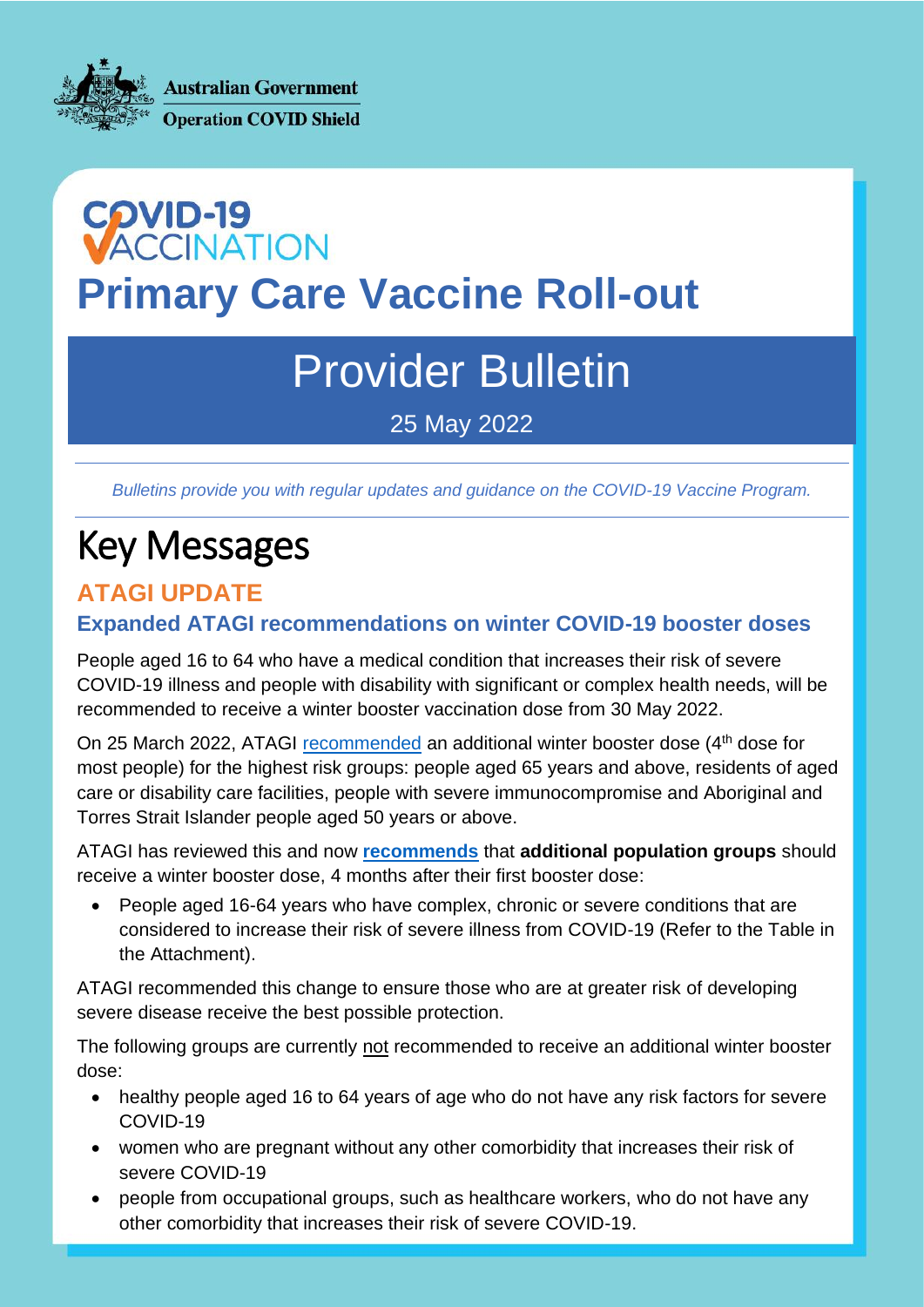**Australian Government Operation COVID Shield** 

# **COVID-19<br>VACCINATION Primary Care Vaccine Roll-out**

## Provider Bulletin

25 May 2022

*Bulletins provide you with regular updates and guidance on the COVID-19 Vaccine Program.*

## Key Messages

#### **ATAGI UPDATE**

#### **Expanded ATAGI recommendations on winter COVID-19 booster doses**

People aged 16 to 64 who have a medical condition that increases their risk of severe COVID-19 illness and people with disability with significant or complex health needs, will be recommended to receive a winter booster vaccination dose from 30 May 2022.

On 25 March 2022, ATAGI [recommended](https://www.health.gov.au/news/atagi-statement-on-recommendations-on-a-winter-booster-dose-of-covid-19-vaccine) an additional winter booster dose (4<sup>th</sup> dose for most people) for the highest risk groups: people aged 65 years and above, residents of aged care or disability care facilities, people with severe immunocompromise and Aboriginal and Torres Strait Islander people aged 50 years or above.

ATAGI has reviewed this and now **[recommends](https://www.health.gov.au/resources/publications/expanded-atagi-recommendations-on-winter-covid-19-booster-doses-for-people-at-increased-risk-of-severe-covid-19)** that **additional population groups** should receive a winter booster dose, 4 months after their first booster dose:

• People aged 16-64 years who have complex, chronic or severe conditions that are considered to increase their risk of severe illness from COVID-19 (Refer to the Table in the Attachment).

ATAGI recommended this change to ensure those who are at greater risk of developing severe disease receive the best possible protection.

The following groups are currently not recommended to receive an additional winter booster dose:

- healthy people aged 16 to 64 years of age who do not have any risk factors for severe COVID-19
- women who are pregnant without any other comorbidity that increases their risk of severe COVID-19
- people from occupational groups, such as healthcare workers, who do not have any other comorbidity that increases their risk of severe COVID-19.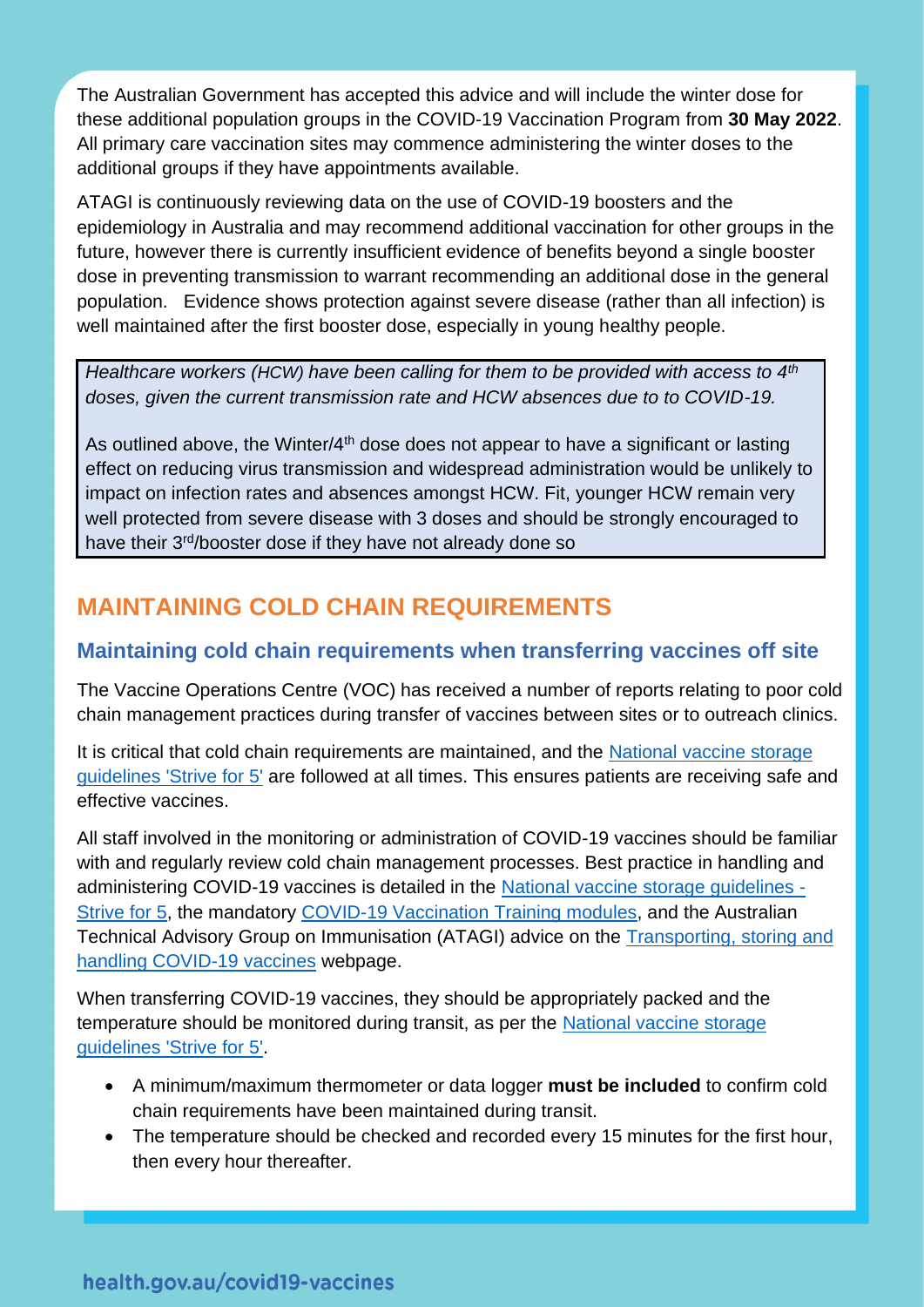The Australian Government has accepted this advice and will include the winter dose for these additional population groups in the COVID-19 Vaccination Program from **30 May 2022**. All primary care vaccination sites may commence administering the winter doses to the additional groups if they have appointments available.

ATAGI is continuously reviewing data on the use of COVID-19 boosters and the epidemiology in Australia and may recommend additional vaccination for other groups in the future, however there is currently insufficient evidence of benefits beyond a single booster dose in preventing transmission to warrant recommending an additional dose in the general population. Evidence shows protection against severe disease (rather than all infection) is well maintained after the first booster dose, especially in young healthy people.

*Healthcare workers (HCW) have been calling for them to be provided with access to 4th doses, given the current transmission rate and HCW absences due to to COVID-19.*

As outlined above, the Winter/ $4<sup>th</sup>$  dose does not appear to have a significant or lasting effect on reducing virus transmission and widespread administration would be unlikely to impact on infection rates and absences amongst HCW. Fit, younger HCW remain very well protected from severe disease with 3 doses and should be strongly encouraged to have their 3<sup>rd</sup>/booster dose if they have not already done so

### **MAINTAINING COLD CHAIN REQUIREMENTS**

#### **Maintaining cold chain requirements when transferring vaccines off site**

The Vaccine Operations Centre (VOC) has received a number of reports relating to poor cold chain management practices during transfer of vaccines between sites or to outreach clinics.

It is critical that cold chain requirements are maintained, and the National vaccine storage [guidelines 'Strive for 5'](https://www.health.gov.au/sites/default/files/documents/2020/04/national-vaccine-storage-guidelines-strive-for-5.pdf) are followed at all times. This ensures patients are receiving safe and effective vaccines.

All staff involved in the monitoring or administration of COVID-19 vaccines should be familiar with and regularly review cold chain management processes. Best practice in handling and administering COVID-19 vaccines is detailed in the [National vaccine storage guidelines -](https://www.health.gov.au/sites/default/files/documents/2020/04/national-vaccine-storage-guidelines-strive-for-5.pdf) [Strive for 5,](https://www.health.gov.au/sites/default/files/documents/2020/04/national-vaccine-storage-guidelines-strive-for-5.pdf) the mandatory [COVID-19 Vaccination Training modules,](https://www.health.gov.au/initiatives-and-programs/covid-19-vaccines/advice-for-providers/covid-19-vaccination-training-program) and the Australian Technical Advisory Group on Immunisation (ATAGI) advice on the [Transporting, storing and](https://www.health.gov.au/initiatives-and-programs/covid-19-vaccines/advice-for-providers/clinical-guidance/transporting-storing-and-handling)  [handling COVID-19 vaccines](https://www.health.gov.au/initiatives-and-programs/covid-19-vaccines/advice-for-providers/clinical-guidance/transporting-storing-and-handling) webpage.

When transferring COVID-19 vaccines, they should be appropriately packed and the temperature should be monitored during transit, as per the National vaccine storage [guidelines 'Strive for 5'.](https://www.health.gov.au/sites/default/files/documents/2020/04/national-vaccine-storage-guidelines-strive-for-5.pdf)

- A minimum/maximum thermometer or data logger **must be included** to confirm cold chain requirements have been maintained during transit.
- The temperature should be checked and recorded every 15 minutes for the first hour, then every hour thereafter.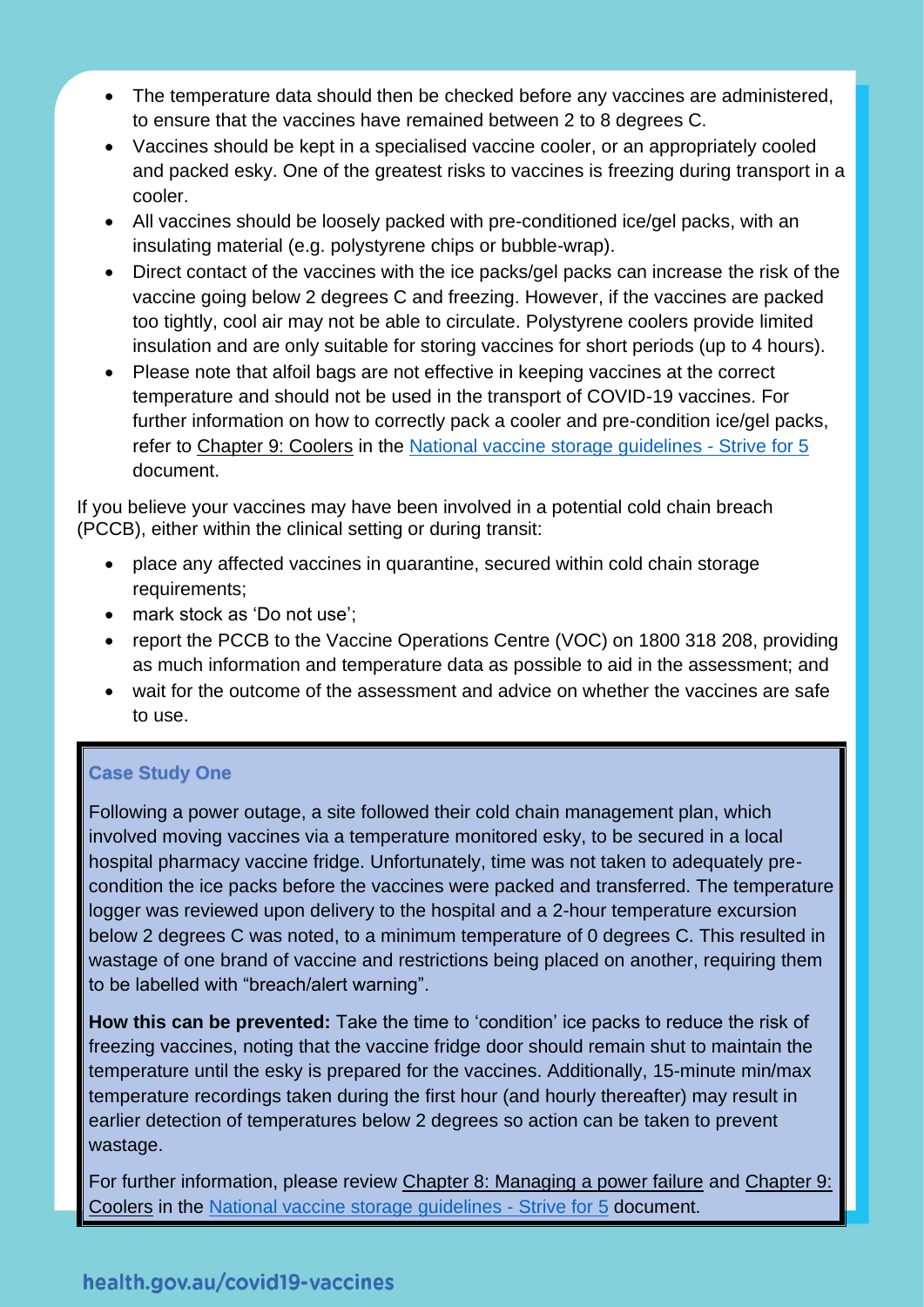- The temperature data should then be checked before any vaccines are administered, to ensure that the vaccines have remained between 2 to 8 degrees C.
- Vaccines should be kept in a specialised vaccine cooler, or an appropriately cooled and packed esky. One of the greatest risks to vaccines is freezing during transport in a cooler.
- All vaccines should be loosely packed with pre-conditioned ice/gel packs, with an insulating material (e.g. polystyrene chips or bubble-wrap).
- Direct contact of the vaccines with the ice packs/gel packs can increase the risk of the vaccine going below 2 degrees C and freezing. However, if the vaccines are packed too tightly, cool air may not be able to circulate. Polystyrene coolers provide limited insulation and are only suitable for storing vaccines for short periods (up to 4 hours).
- Please note that alfoil bags are not effective in keeping vaccines at the correct temperature and should not be used in the transport of COVID-19 vaccines. For further information on how to correctly pack a cooler and pre-condition ice/gel packs, refer to Chapter 9: Coolers in the [National vaccine storage guidelines -](https://www.health.gov.au/sites/default/files/documents/2020/04/national-vaccine-storage-guidelines-strive-for-5.pdf) Strive for 5 document.

If you believe your vaccines may have been involved in a potential cold chain breach (PCCB), either within the clinical setting or during transit:

- place any affected vaccines in quarantine, secured within cold chain storage requirements;
- mark stock as 'Do not use';
- report the PCCB to the Vaccine Operations Centre (VOC) on 1800 318 208, providing as much information and temperature data as possible to aid in the assessment; and
- wait for the outcome of the assessment and advice on whether the vaccines are safe to use.

#### **Case Study One**

Following a power outage, a site followed their cold chain management plan, which involved moving vaccines via a temperature monitored esky, to be secured in a local hospital pharmacy vaccine fridge. Unfortunately, time was not taken to adequately precondition the ice packs before the vaccines were packed and transferred. The temperature logger was reviewed upon delivery to the hospital and a 2-hour temperature excursion below 2 degrees C was noted, to a minimum temperature of 0 degrees C. This resulted in wastage of one brand of vaccine and restrictions being placed on another, requiring them to be labelled with "breach/alert warning".

**How this can be prevented:** Take the time to 'condition' ice packs to reduce the risk of freezing vaccines, noting that the vaccine fridge door should remain shut to maintain the temperature until the esky is prepared for the vaccines. Additionally, 15-minute min/max temperature recordings taken during the first hour (and hourly thereafter) may result in earlier detection of temperatures below 2 degrees so action can be taken to prevent wastage.

For further information, please review Chapter 8: Managing a power failure and Chapter 9: Coolers in the [National vaccine storage guidelines -](https://www.health.gov.au/sites/default/files/documents/2020/04/national-vaccine-storage-guidelines-strive-for-5.pdf) Strive for 5 document.

#### health.gov.au/covid19-vaccines